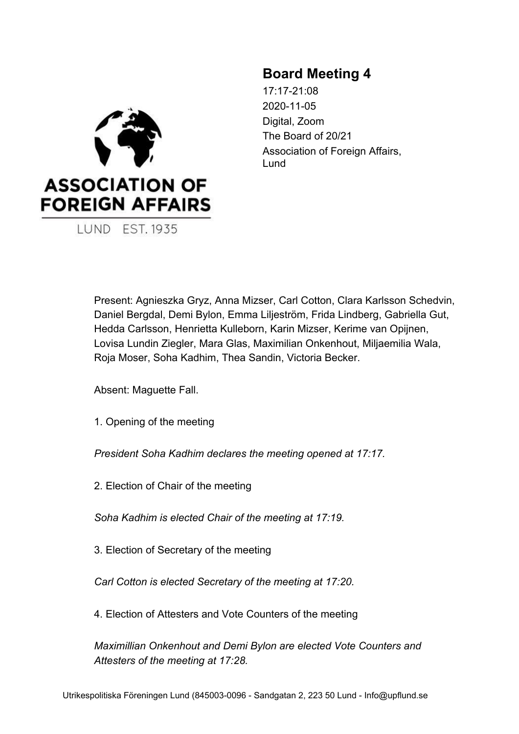

**LUND EST. 1935** 

# **Board Meeting 4**

17:17-21:08 2020-11-05 Digital, Zoom The Board of 20/21 Association of Foreign Affairs, Lund

Present: Agnieszka Gryz, Anna Mizser, Carl Cotton, Clara Karlsson Schedvin, Daniel Bergdal, Demi Bylon, Emma Liljeström, Frida Lindberg, Gabriella Gut, Hedda Carlsson, Henrietta Kulleborn, Karin Mizser, Kerime van Opijnen, Lovisa Lundin Ziegler, Mara Glas, Maximilian Onkenhout, Miljaemilia Wala, Roja Moser, Soha Kadhim, Thea Sandin, Victoria Becker.

Absent: Maguette Fall.

1. Opening of the meeting

*President Soha Kadhim declares the meeting opened at 17:17.*

2. Election of Chair of the meeting

*Soha Kadhim is elected Chair of the meeting at 17:19.*

3. Election of Secretary of the meeting

*Carl Cotton is elected Secretary of the meeting at 17:20.*

4. Election of Attesters and Vote Counters of the meeting

*Maximillian Onkenhout and Demi Bylon are elected Vote Counters and Attesters of the meeting at 17:28.*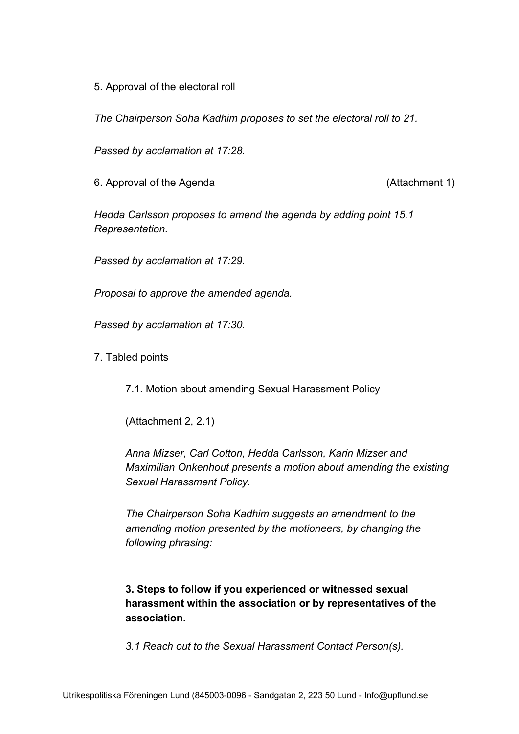5. Approval of the electoral roll

*The Chairperson Soha Kadhim proposes to set the electoral roll to 21.*

*Passed by acclamation at 17:28.*

6. Approval of the Agenda (Attachment 1)

*Hedda Carlsson proposes to amend the agenda by adding point 15.1 Representation.*

*Passed by acclamation at 17:29.*

*Proposal to approve the amended agenda.*

*Passed by acclamation at 17:30.*

7. Tabled points

7.1. Motion about amending Sexual Harassment Policy

(Attachment 2, 2.1)

*Anna Mizser, Carl Cotton, Hedda Carlsson, Karin Mizser and Maximilian Onkenhout presents a motion about amending the existing Sexual Harassment Policy.*

*The Chairperson Soha Kadhim suggests an amendment to the amending motion presented by the motioneers, by changing the following phrasing:*

**3. Steps to follow if you experienced or witnessed sexual harassment within the association or by representatives of the association.**

*3.1 Reach out to the Sexual Harassment Contact Person(s).*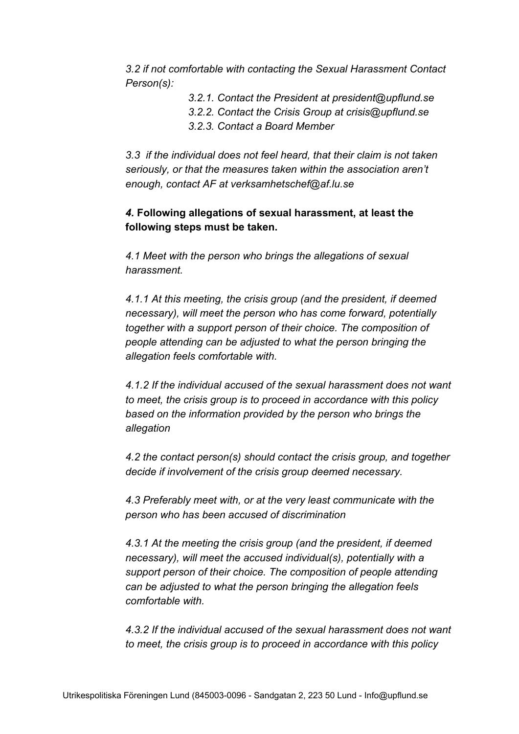*3.2 if not comfortable with contacting the Sexual Harassment Contact Person(s):*

- *3.2.1. Contact the President at president@upflund.se*
- *3.2.2. Contact the Crisis Group at crisis@upflund.se*
- *3.2.3. Contact a Board Member*

*3.3 if the individual does not feel heard, that their claim is not taken seriously, or that the measures taken within the association aren't enough, contact AF at verksamhetschef@af.lu.se*

# *4.* **Following allegations of sexual harassment, at least the following steps must be taken.**

*4.1 Meet with the person who brings the allegations of sexual harassment.*

*4.1.1 At this meeting, the crisis group (and the president, if deemed necessary), will meet the person who has come forward, potentially together with a support person of their choice. The composition of people attending can be adjusted to what the person bringing the allegation feels comfortable with.*

*4.1.2 If the individual accused of the sexual harassment does not want to meet, the crisis group is to proceed in accordance with this policy based on the information provided by the person who brings the allegation*

*4.2 the contact person(s) should contact the crisis group, and together decide if involvement of the crisis group deemed necessary.*

*4.3 Preferably meet with, or at the very least communicate with the person who has been accused of discrimination*

*4.3.1 At the meeting the crisis group (and the president, if deemed necessary), will meet the accused individual(s), potentially with a support person of their choice. The composition of people attending can be adjusted to what the person bringing the allegation feels comfortable with.*

*4.3.2 If the individual accused of the sexual harassment does not want to meet, the crisis group is to proceed in accordance with this policy*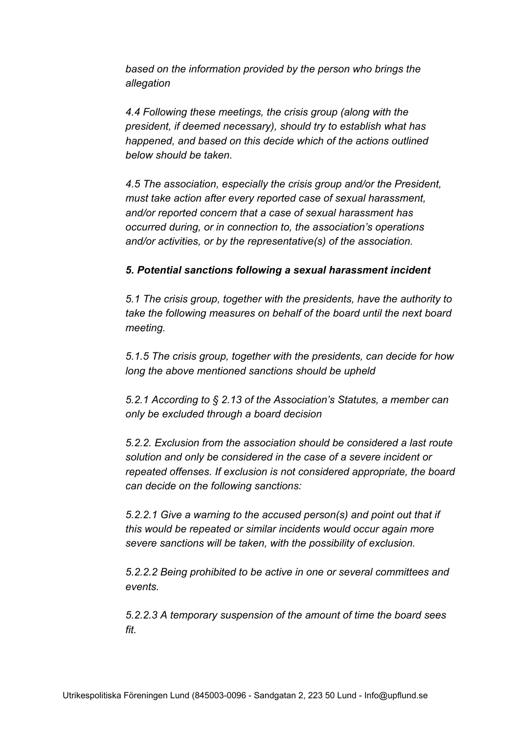*based on the information provided by the person who brings the allegation*

*4.4 Following these meetings, the crisis group (along with the president, if deemed necessary), should try to establish what has happened, and based on this decide which of the actions outlined below should be taken.*

*4.5 The association, especially the crisis group and/or the President, must take action after every reported case of sexual harassment, and/or reported concern that a case of sexual harassment has occurred during, or in connection to, the association's operations and/or activities, or by the representative(s) of the association.*

## *5. Potential sanctions following a sexual harassment incident*

*5.1 The crisis group, together with the presidents, have the authority to take the following measures on behalf of the board until the next board meeting.*

*5.1.5 The crisis group, together with the presidents, can decide for how long the above mentioned sanctions should be upheld*

*5.2.1 According to § 2.13 of the Association's Statutes, a member can only be excluded through a board decision*

*5.2.2. Exclusion from the association should be considered a last route solution and only be considered in the case of a severe incident or repeated offenses. If exclusion is not considered appropriate, the board can decide on the following sanctions:*

*5.2.2.1 Give a warning to the accused person(s) and point out that if this would be repeated or similar incidents would occur again more severe sanctions will be taken, with the possibility of exclusion.*

*5.2.2.2 Being prohibited to be active in one or several committees and events.*

*5.2.2.3 A temporary suspension of the amount of time the board sees fit.*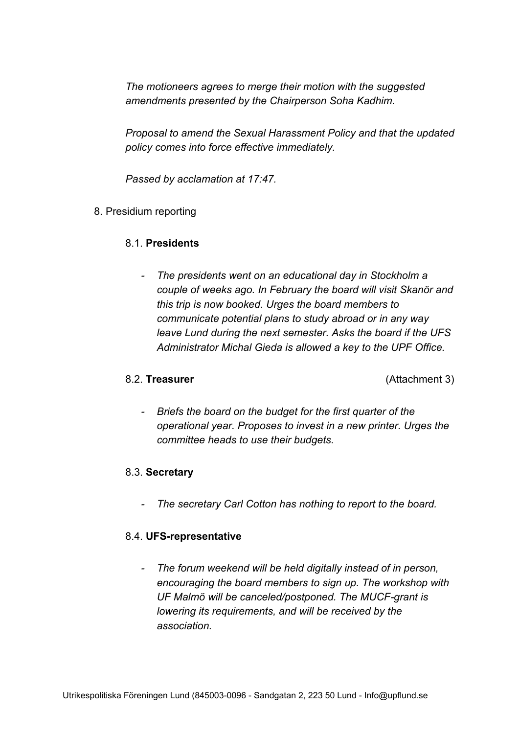*The motioneers agrees to merge their motion with the suggested amendments presented by the Chairperson Soha Kadhim.*

*Proposal to amend the Sexual Harassment Policy and that the updated policy comes into force effective immediately.*

*Passed by acclamation at 17:47.*

8. Presidium reporting

#### 8.1. **Presidents**

*- The presidents went on an educational day in Stockholm a couple of weeks ago. In February the board will visit Skanör and this trip is now booked. Urges the board members to communicate potential plans to study abroad or in any way leave Lund during the next semester. Asks the board if the UFS Administrator Michal Gieda is allowed a key to the UPF Office.*

8.2. **Treasurer** (Attachment 3)

*- Briefs the board on the budget for the first quarter of the operational year. Proposes to invest in a new printer. Urges the committee heads to use their budgets.*

#### 8.3. **Secretary**

*- The secretary Carl Cotton has nothing to report to the board.*

#### 8.4. **UFS-representative**

*- The forum weekend will be held digitally instead of in person, encouraging the board members to sign up. The workshop with UF Malmö will be canceled/postponed. The MUCF-grant is lowering its requirements, and will be received by the association.*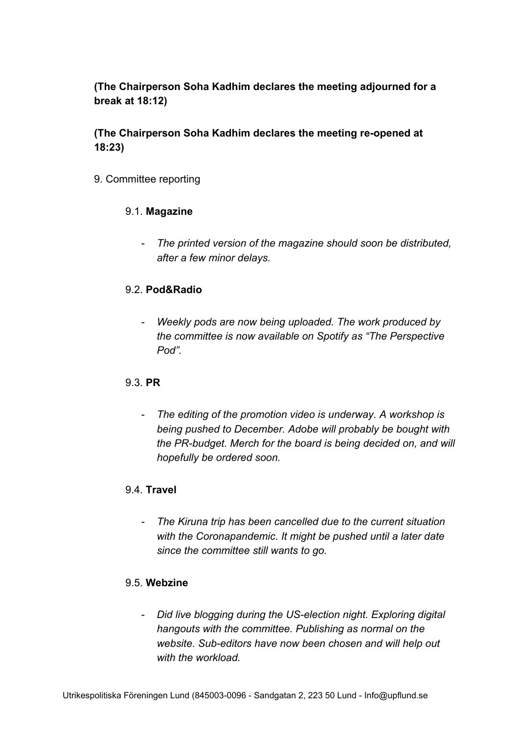# **(The Chairperson Soha Kadhim declares the meeting adjourned for a break at 18:12)**

# **(The Chairperson Soha Kadhim declares the meeting re-opened at 18:23)**

9. Committee reporting

## 9.1. **Magazine**

*- The printed version of the magazine should soon be distributed, after a few minor delays.*

# 9.2. **Pod&Radio**

*- Weekly pods are now being uploaded. The work produced by the committee is now available on Spotify as "The Perspective Pod".*

# 9.3. **PR**

*- The editing of the promotion video is underway. A workshop is being pushed to December. Adobe will probably be bought with the PR-budget. Merch for the board is being decided on, and will hopefully be ordered soon.*

# 9.4. **Travel**

*- The Kiruna trip has been cancelled due to the current situation with the Coronapandemic. It might be pushed until a later date since the committee still wants to go.*

## 9.5. **Webzine**

*- Did live blogging during the US-election night. Exploring digital hangouts with the committee. Publishing as normal on the website. Sub-editors have now been chosen and will help out with the workload.*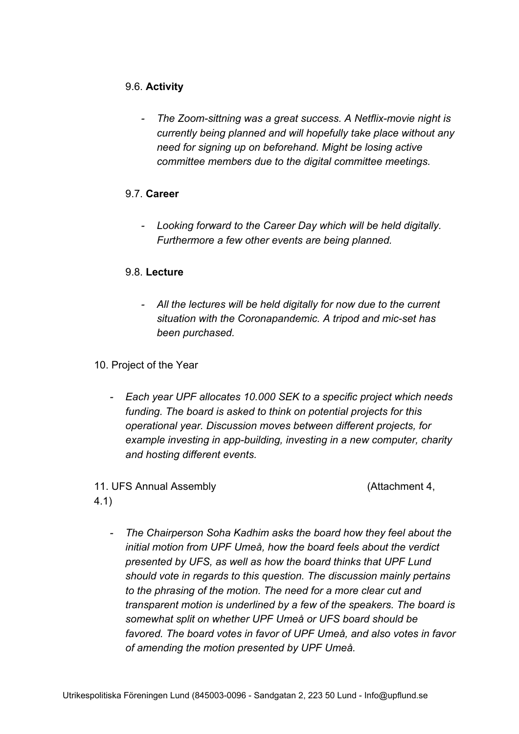# 9.6. **Activity**

*- The Zoom-sittning was a great success. A Netflix-movie night is currently being planned and will hopefully take place without any need for signing up on beforehand. Might be losing active committee members due to the digital committee meetings.*

# 9.7. **Career**

*- Looking forward to the Career Day which will be held digitally. Furthermore a few other events are being planned.*

# 9.8. **Lecture**

*- All the lectures will be held digitally for now due to the current situation with the Coronapandemic. A tripod and mic-set has been purchased.*

## 10. Project of the Year

*- Each year UPF allocates 10.000 SEK to a specific project which needs funding. The board is asked to think on potential projects for this operational year. Discussion moves between different projects, for example investing in app-building, investing in a new computer, charity and hosting different events.*

# 11. UFS Annual Assembly (Attachment 4,

4.1)

*- The Chairperson Soha Kadhim asks the board how they feel about the initial motion from UPF Umeå, how the board feels about the verdict presented by UFS, as well as how the board thinks that UPF Lund should vote in regards to this question. The discussion mainly pertains to the phrasing of the motion. The need for a more clear cut and transparent motion is underlined by a few of the speakers. The board is somewhat split on whether UPF Umeå or UFS board should be favored. The board votes in favor of UPF Umeå, and also votes in favor of amending the motion presented by UPF Umeå.*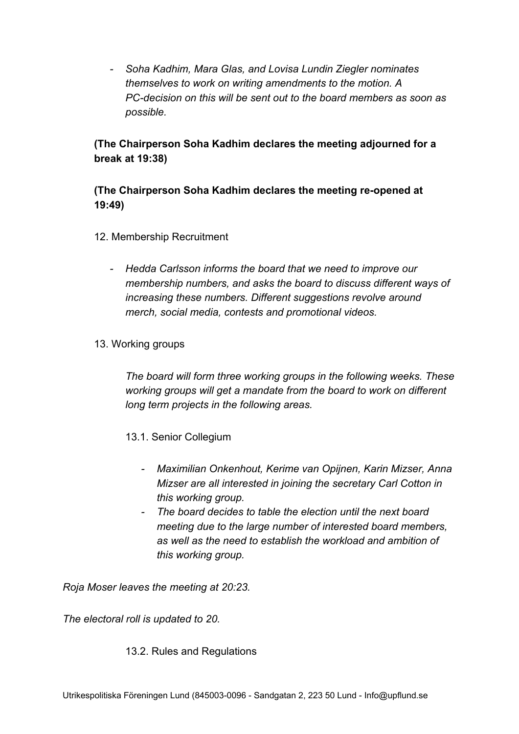*- Soha Kadhim, Mara Glas, and Lovisa Lundin Ziegler nominates themselves to work on writing amendments to the motion. A PC-decision on this will be sent out to the board members as soon as possible.*

# **(The Chairperson Soha Kadhim declares the meeting adjourned for a break at 19:38)**

# **(The Chairperson Soha Kadhim declares the meeting re-opened at 19:49)**

- 12. Membership Recruitment
	- *- Hedda Carlsson informs the board that we need to improve our membership numbers, and asks the board to discuss different ways of increasing these numbers. Different suggestions revolve around merch, social media, contests and promotional videos.*
- 13. Working groups

*The board will form three working groups in the following weeks. These working groups will get a mandate from the board to work on different long term projects in the following areas.*

- 13.1. Senior Collegium
	- *- Maximilian Onkenhout, Kerime van Opijnen, Karin Mizser, Anna Mizser are all interested in joining the secretary Carl Cotton in this working group.*
	- *- The board decides to table the election until the next board meeting due to the large number of interested board members, as well as the need to establish the workload and ambition of this working group.*

*Roja Moser leaves the meeting at 20:23.*

*The electoral roll is updated to 20.*

#### 13.2. Rules and Regulations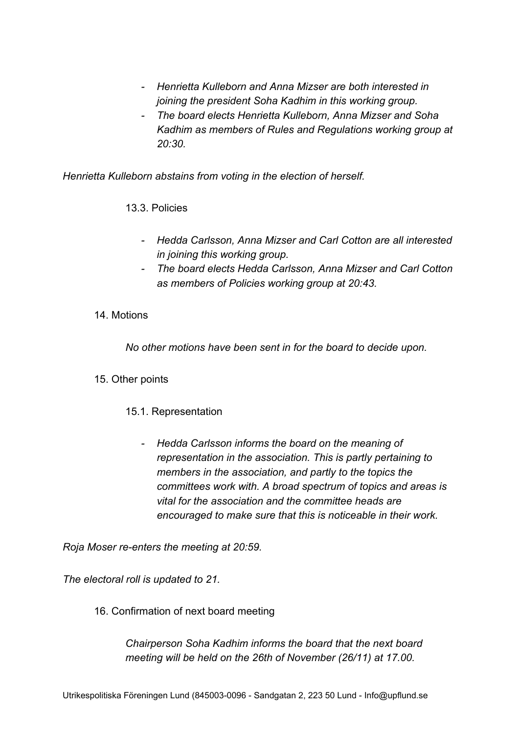- *- Henrietta Kulleborn and Anna Mizser are both interested in joining the president Soha Kadhim in this working group.*
- *- The board elects Henrietta Kulleborn, Anna Mizser and Soha Kadhim as members of Rules and Regulations working group at 20:30.*

*Henrietta Kulleborn abstains from voting in the election of herself.*

13.3. Policies

- *- Hedda Carlsson, Anna Mizser and Carl Cotton are all interested in joining this working group.*
- *- The board elects Hedda Carlsson, Anna Mizser and Carl Cotton as members of Policies working group at 20:43.*

# 14. Motions

*No other motions have been sent in for the board to decide upon.*

#### 15. Other points

# 15.1. Representation

*- Hedda Carlsson informs the board on the meaning of representation in the association. This is partly pertaining to members in the association, and partly to the topics the committees work with. A broad spectrum of topics and areas is vital for the association and the committee heads are encouraged to make sure that this is noticeable in their work.*

*Roja Moser re-enters the meeting at 20:59.*

*The electoral roll is updated to 21.*

16. Confirmation of next board meeting

*Chairperson Soha Kadhim informs the board that the next board meeting will be held on the 26th of November (26/11) at 17.00.*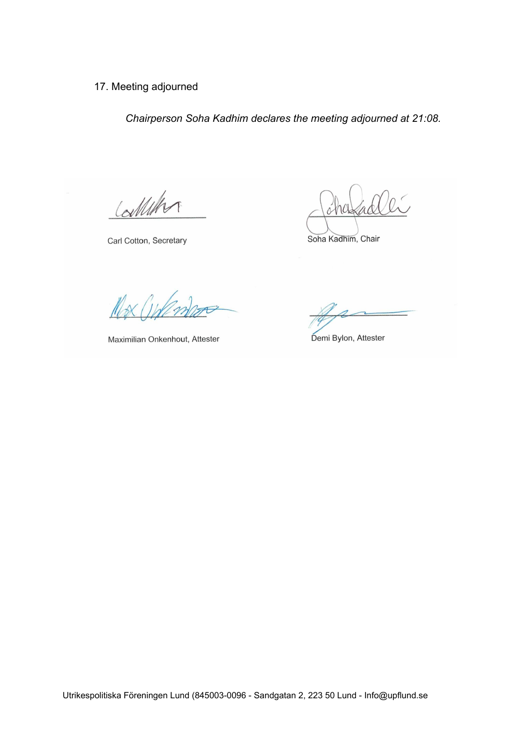# 17. Meeting adjourned

*Chairperson Soha Kadhim declares the meeting adjourned at 21:08.*

Calleton

Carl Cotton, Secretary

Soha Kadhim, Chair

 $\gamma_{\mathcal{N}}$ 

Maximilian Onkenhout, Attester

Demi Bylon, Attester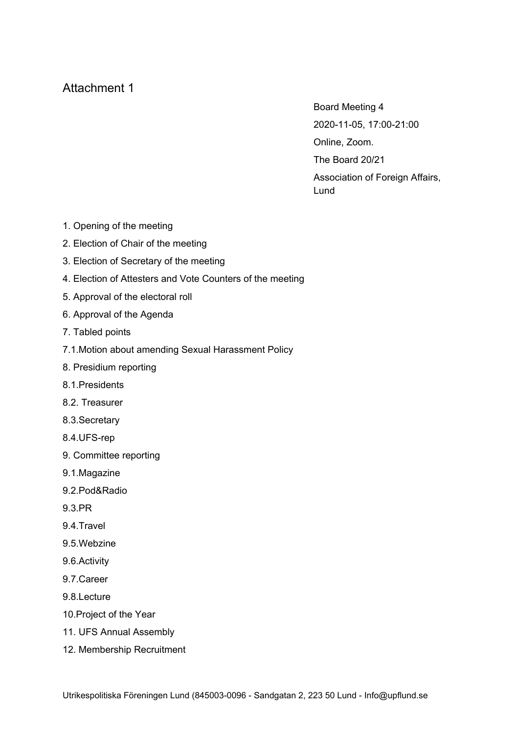# Attachment 1

Board Meeting 4 2020-11-05, 17:00-21:00 Online, Zoom. The Board 20/21 Association of Foreign Affairs, Lund

- 1. Opening of the meeting
- 2. Election of Chair of the meeting
- 3. Election of Secretary of the meeting
- 4. Election of Attesters and Vote Counters of the meeting
- 5. Approval of the electoral roll
- 6. Approval of the Agenda
- 7. Tabled points
- 7.1.Motion about amending Sexual Harassment Policy
- 8. Presidium reporting
- 8.1.Presidents
- 8.2. Treasurer
- 8.3.Secretary
- 8.4.UFS-rep
- 9. Committee reporting
- 9.1.Magazine
- 9.2.Pod&Radio
- 9.3.PR
- 9.4.Travel
- 9.5.Webzine
- 9.6.Activity
- 9.7.Career
- 9.8.Lecture
- 10.Project of the Year
- 11. UFS Annual Assembly
- 12. Membership Recruitment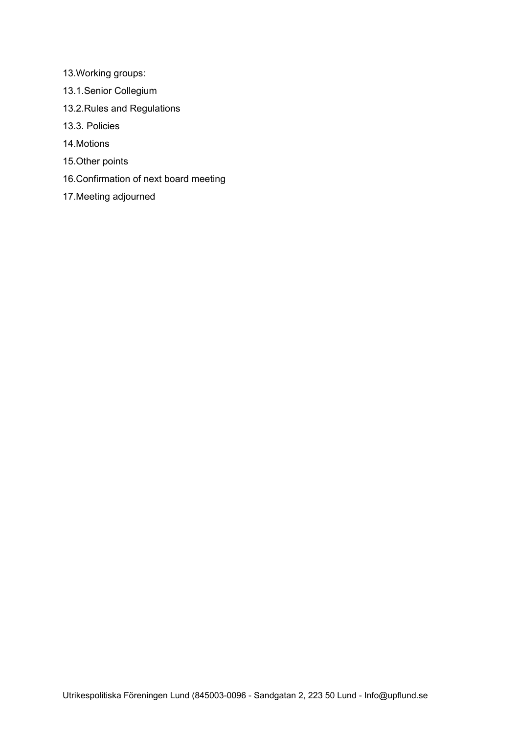- 13.Working groups:
- 13.1.Senior Collegium
- 13.2.Rules and Regulations
- 13.3. Policies
- 14.Motions
- 15.Other points
- 16.Confirmation of next board meeting
- 17.Meeting adjourned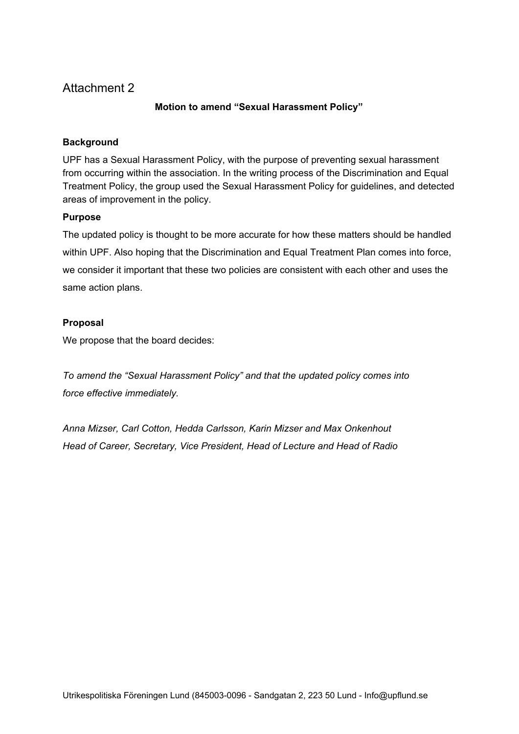# Attachment 2

#### **Motion to amend "Sexual Harassment Policy"**

#### **Background**

UPF has a Sexual Harassment Policy, with the purpose of preventing sexual harassment from occurring within the association. In the writing process of the Discrimination and Equal Treatment Policy, the group used the Sexual Harassment Policy for guidelines, and detected areas of improvement in the policy.

#### **Purpose**

The updated policy is thought to be more accurate for how these matters should be handled within UPF. Also hoping that the Discrimination and Equal Treatment Plan comes into force, we consider it important that these two policies are consistent with each other and uses the same action plans.

#### **Proposal**

We propose that the board decides:

*To amend the "Sexual Harassment Policy" and that the updated policy comes into force effective immediately.*

*Anna Mizser, Carl Cotton, Hedda Carlsson, Karin Mizser and Max Onkenhout Head of Career, Secretary, Vice President, Head of Lecture and Head of Radio*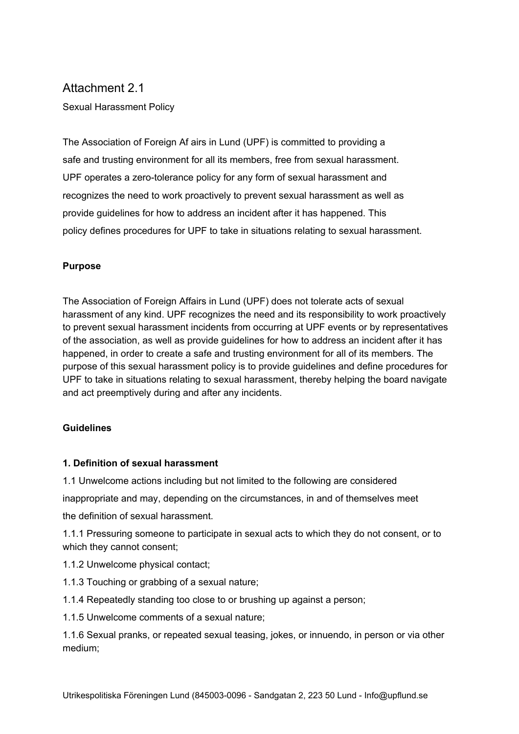# Attachment 2.1

Sexual Harassment Policy

The Association of Foreign Af airs in Lund (UPF) is committed to providing a safe and trusting environment for all its members, free from sexual harassment. UPF operates a zero-tolerance policy for any form of sexual harassment and recognizes the need to work proactively to prevent sexual harassment as well as provide guidelines for how to address an incident after it has happened. This policy defines procedures for UPF to take in situations relating to sexual harassment.

#### **Purpose**

The Association of Foreign Affairs in Lund (UPF) does not tolerate acts of sexual harassment of any kind. UPF recognizes the need and its responsibility to work proactively to prevent sexual harassment incidents from occurring at UPF events or by representatives of the association, as well as provide guidelines for how to address an incident after it has happened, in order to create a safe and trusting environment for all of its members. The purpose of this sexual harassment policy is to provide guidelines and define procedures for UPF to take in situations relating to sexual harassment, thereby helping the board navigate and act preemptively during and after any incidents.

#### **Guidelines**

#### **1. Definition of sexual harassment**

1.1 Unwelcome actions including but not limited to the following are considered

inappropriate and may, depending on the circumstances, in and of themselves meet

the definition of sexual harassment.

1.1.1 Pressuring someone to participate in sexual acts to which they do not consent, or to which they cannot consent;

- 1.1.2 Unwelcome physical contact;
- 1.1.3 Touching or grabbing of a sexual nature;

1.1.4 Repeatedly standing too close to or brushing up against a person;

1.1.5 Unwelcome comments of a sexual nature;

1.1.6 Sexual pranks, or repeated sexual teasing, jokes, or innuendo, in person or via other medium;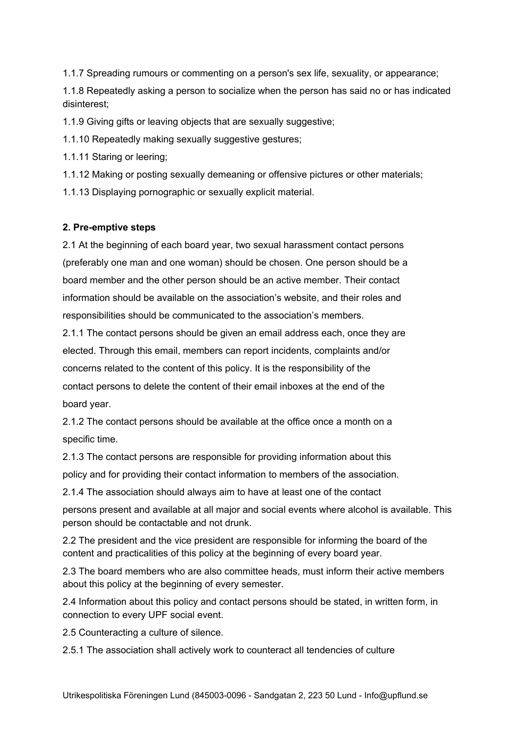1.1.7 Spreading rumours or commenting on a person's sex life, sexuality, or appearance;

1.1.8 Repeatedly asking a person to socialize when the person has said no or has indicated disinterest;

1.1.9 Giving gifts or leaving objects that are sexually suggestive;

1.1.10 Repeatedly making sexually suggestive gestures;

1.1.11 Staring or leering;

1.1.12 Making or posting sexually demeaning or offensive pictures or other materials;

1.1.13 Displaying pornographic or sexually explicit material.

#### **2. Pre-emptive steps**

2.1 At the beginning of each board year, two sexual harassment contact persons (preferably one man and one woman) should be chosen. One person should be a board member and the other person should be an active member. Their contact information should be available on the association's website, and their roles and responsibilities should be communicated to the association's members.

2.1.1 The contact persons should be given an email address each, once they are elected. Through this email, members can report incidents, complaints and/or concerns related to the content of this policy. It is the responsibility of the contact persons to delete the content of their email inboxes at the end of the board year.

2.1.2 The contact persons should be available at the office once a month on a specific time.

2.1.3 The contact persons are responsible for providing information about this

policy and for providing their contact information to members of the association.

2.1.4 The association should always aim to have at least one of the contact

persons present and available at all major and social events where alcohol is available. This person should be contactable and not drunk.

2.2 The president and the vice president are responsible for informing the board of the content and practicalities of this policy at the beginning of every board year.

2.3 The board members who are also committee heads, must inform their active members about this policy at the beginning of every semester.

2.4 Information about this policy and contact persons should be stated, in written form, in connection to every UPF social event.

2.5 Counteracting a culture of silence.

2.5.1 The association shall actively work to counteract all tendencies of culture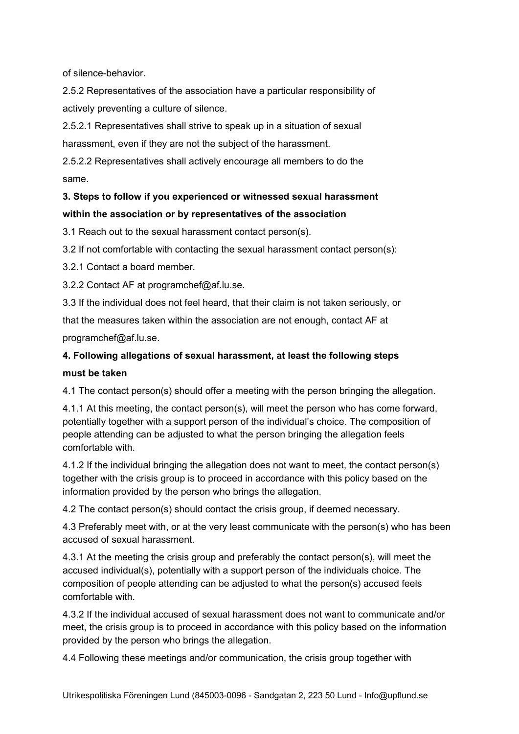of silence-behavior.

2.5.2 Representatives of the association have a particular responsibility of actively preventing a culture of silence.

2.5.2.1 Representatives shall strive to speak up in a situation of sexual harassment, even if they are not the subject of the harassment.

2.5.2.2 Representatives shall actively encourage all members to do the same.

# **3. Steps to follow if you experienced or witnessed sexual harassment within the association or by representatives of the association**

3.1 Reach out to the sexual harassment contact person(s).

3.2 If not comfortable with contacting the sexual harassment contact person(s):

3.2.1 Contact a board member.

3.2.2 Contact AF at programchef@af.lu.se.

3.3 If the individual does not feel heard, that their claim is not taken seriously, or

that the measures taken within the association are not enough, contact AF at

programchef@af.lu.se.

# **4. Following allegations of sexual harassment, at least the following steps must be taken**

4.1 The contact person(s) should offer a meeting with the person bringing the allegation.

4.1.1 At this meeting, the contact person(s), will meet the person who has come forward, potentially together with a support person of the individual's choice. The composition of people attending can be adjusted to what the person bringing the allegation feels comfortable with.

4.1.2 If the individual bringing the allegation does not want to meet, the contact person(s) together with the crisis group is to proceed in accordance with this policy based on the information provided by the person who brings the allegation.

4.2 The contact person(s) should contact the crisis group, if deemed necessary.

4.3 Preferably meet with, or at the very least communicate with the person(s) who has been accused of sexual harassment.

4.3.1 At the meeting the crisis group and preferably the contact person(s), will meet the accused individual(s), potentially with a support person of the individuals choice. The composition of people attending can be adjusted to what the person(s) accused feels comfortable with.

4.3.2 If the individual accused of sexual harassment does not want to communicate and/or meet, the crisis group is to proceed in accordance with this policy based on the information provided by the person who brings the allegation.

4.4 Following these meetings and/or communication, the crisis group together with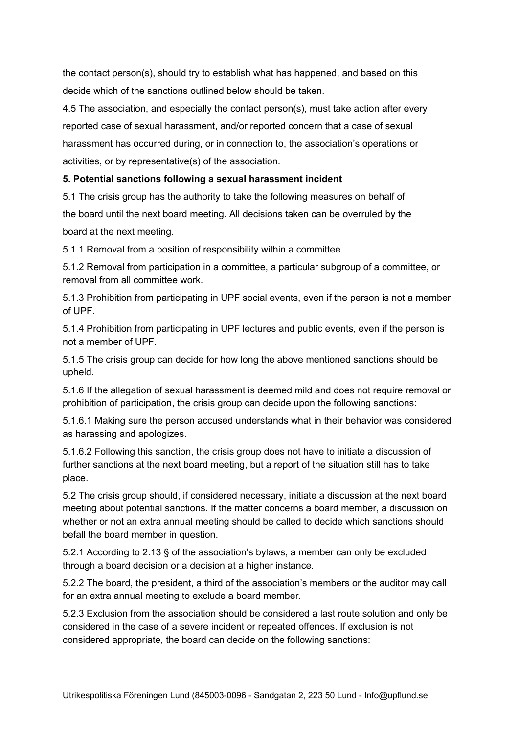the contact person(s), should try to establish what has happened, and based on this decide which of the sanctions outlined below should be taken.

4.5 The association, and especially the contact person(s), must take action after every reported case of sexual harassment, and/or reported concern that a case of sexual harassment has occurred during, or in connection to, the association's operations or activities, or by representative(s) of the association.

#### **5. Potential sanctions following a sexual harassment incident**

5.1 The crisis group has the authority to take the following measures on behalf of the board until the next board meeting. All decisions taken can be overruled by the board at the next meeting.

5.1.1 Removal from a position of responsibility within a committee.

5.1.2 Removal from participation in a committee, a particular subgroup of a committee, or removal from all committee work.

5.1.3 Prohibition from participating in UPF social events, even if the person is not a member of UPF.

5.1.4 Prohibition from participating in UPF lectures and public events, even if the person is not a member of UPF.

5.1.5 The crisis group can decide for how long the above mentioned sanctions should be upheld.

5.1.6 If the allegation of sexual harassment is deemed mild and does not require removal or prohibition of participation, the crisis group can decide upon the following sanctions:

5.1.6.1 Making sure the person accused understands what in their behavior was considered as harassing and apologizes.

5.1.6.2 Following this sanction, the crisis group does not have to initiate a discussion of further sanctions at the next board meeting, but a report of the situation still has to take place.

5.2 The crisis group should, if considered necessary, initiate a discussion at the next board meeting about potential sanctions. If the matter concerns a board member, a discussion on whether or not an extra annual meeting should be called to decide which sanctions should befall the board member in question.

5.2.1 According to 2.13 § of the association's bylaws, a member can only be excluded through a board decision or a decision at a higher instance.

5.2.2 The board, the president, a third of the association's members or the auditor may call for an extra annual meeting to exclude a board member.

5.2.3 Exclusion from the association should be considered a last route solution and only be considered in the case of a severe incident or repeated offences. If exclusion is not considered appropriate, the board can decide on the following sanctions: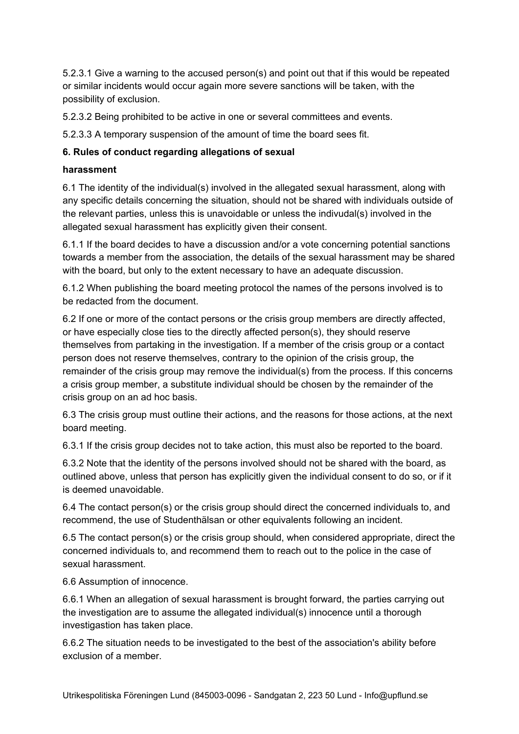5.2.3.1 Give a warning to the accused person(s) and point out that if this would be repeated or similar incidents would occur again more severe sanctions will be taken, with the possibility of exclusion.

5.2.3.2 Being prohibited to be active in one or several committees and events.

5.2.3.3 A temporary suspension of the amount of time the board sees fit.

# **6. Rules of conduct regarding allegations of sexual**

#### **harassment**

6.1 The identity of the individual(s) involved in the allegated sexual harassment, along with any specific details concerning the situation, should not be shared with individuals outside of the relevant parties, unless this is unavoidable or unless the indivudal(s) involved in the allegated sexual harassment has explicitly given their consent.

6.1.1 If the board decides to have a discussion and/or a vote concerning potential sanctions towards a member from the association, the details of the sexual harassment may be shared with the board, but only to the extent necessary to have an adequate discussion.

6.1.2 When publishing the board meeting protocol the names of the persons involved is to be redacted from the document.

6.2 If one or more of the contact persons or the crisis group members are directly affected, or have especially close ties to the directly affected person(s), they should reserve themselves from partaking in the investigation. If a member of the crisis group or a contact person does not reserve themselves, contrary to the opinion of the crisis group, the remainder of the crisis group may remove the individual(s) from the process. If this concerns a crisis group member, a substitute individual should be chosen by the remainder of the crisis group on an ad hoc basis.

6.3 The crisis group must outline their actions, and the reasons for those actions, at the next board meeting.

6.3.1 If the crisis group decides not to take action, this must also be reported to the board.

6.3.2 Note that the identity of the persons involved should not be shared with the board, as outlined above, unless that person has explicitly given the individual consent to do so, or if it is deemed unavoidable.

6.4 The contact person(s) or the crisis group should direct the concerned individuals to, and recommend, the use of Studenthälsan or other equivalents following an incident.

6.5 The contact person(s) or the crisis group should, when considered appropriate, direct the concerned individuals to, and recommend them to reach out to the police in the case of sexual harassment.

6.6 Assumption of innocence.

6.6.1 When an allegation of sexual harassment is brought forward, the parties carrying out the investigation are to assume the allegated individual(s) innocence until a thorough investigastion has taken place.

6.6.2 The situation needs to be investigated to the best of the association's ability before exclusion of a member.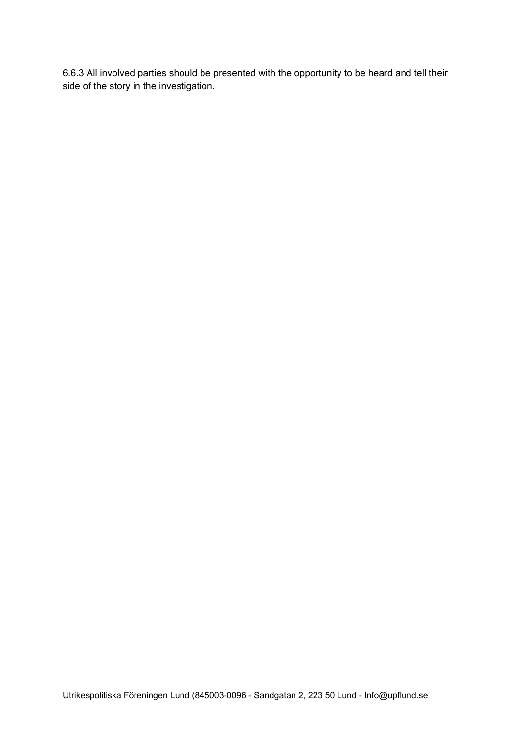6.6.3 All involved parties should be presented with the opportunity to be heard and tell their side of the story in the investigation.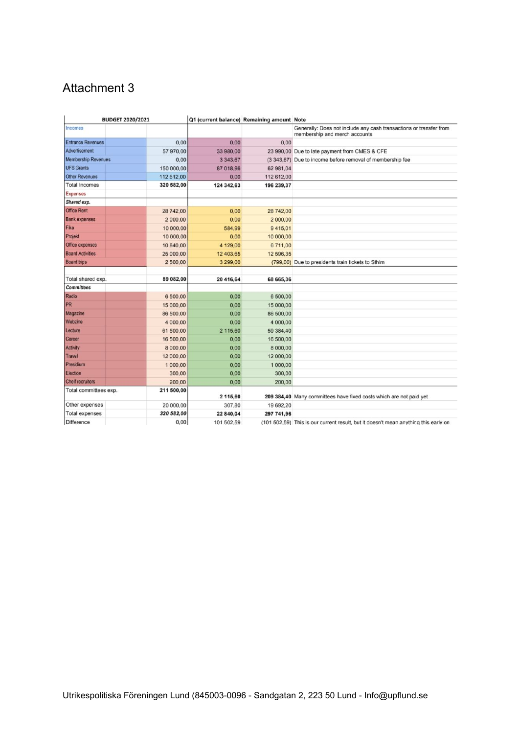# Attachment 3

| <b>BUDGET 2020/2021</b>              | Q1 (current balance) Remaining amount Note |            |                                                                                                     |
|--------------------------------------|--------------------------------------------|------------|-----------------------------------------------------------------------------------------------------|
| Incomes                              |                                            |            | Generally: Does not include any cash transactions or transfer from<br>membership and merch accounts |
| <b>Entrance Revenues</b>             | 0,00<br>0.00                               | 0.00       |                                                                                                     |
| Advertisement<br>57 970,00           | 33 980,00                                  |            | 23 990,00 Due to late payment from CMES & CFE                                                       |
| <b>Membership Revenues</b>           | 0,00<br>3 3 4 3 6 7                        |            | (3 343,67) Due to income before removal of membership fee                                           |
| <b>UFS Grants</b><br>150 000,00      | 87 018,96                                  | 62 981.04  |                                                                                                     |
| <b>Other Revenues</b><br>112 612.00  | 0.00                                       | 112 612,00 |                                                                                                     |
| <b>Total Incomes</b><br>320 582,00   | 124 342,63                                 | 196 239,37 |                                                                                                     |
| <b>Expenses</b>                      |                                            |            |                                                                                                     |
| Shared exp.                          |                                            |            |                                                                                                     |
| <b>Office Rent</b><br>28 742,00      | 0.00                                       | 28 742,00  |                                                                                                     |
| <b>Bank expenses</b><br>2 000,00     | 0.00                                       | 2 000,00   |                                                                                                     |
| Fika<br>10 000,00                    | 584,99                                     | 9415.01    |                                                                                                     |
| Projekt<br>10 000,00                 | 0.00                                       | 10 000,00  |                                                                                                     |
| Office expenses<br>10 840,00         | 4 129,00                                   | 6711.00    |                                                                                                     |
| <b>Board Activities</b><br>25 000,00 | 12 403.65                                  | 12 596.35  |                                                                                                     |
| <b>Board trips</b><br>2 500,00       | 3 299,00                                   |            | (799,00) Due to presidents train tickets to Sthlm                                                   |
| Total shared exp.<br>89 082,00       | 20 416,64                                  | 68 665,36  |                                                                                                     |
| <b>Committees</b>                    |                                            |            |                                                                                                     |
| Radio<br>6 500,00                    | 0.00                                       | 6 500,00   |                                                                                                     |
| PR<br>15 000,00                      | 0,00                                       | 15 000,00  |                                                                                                     |
| Magazine<br>86 500,00                | 0.00                                       | 86 500,00  |                                                                                                     |
| Webzine<br>4 000,00                  | 0.00                                       | 4 000,00   |                                                                                                     |
| Lecture<br>61 500,00                 | 2 115,60                                   | 59 384,40  |                                                                                                     |
| Career<br>16 500,00                  | 0,00                                       | 16 500,00  |                                                                                                     |
| <b>Activity</b><br>8 000,00          | 0.00                                       | 8 000,00   |                                                                                                     |
| <b>Travel</b><br>12 000,00           | 0,00                                       | 12 000,00  |                                                                                                     |
| Presidium<br>1 000.00                | 0.00                                       | 1 000,00   |                                                                                                     |
| Election<br>300,00                   | 0,00                                       | 300,00     |                                                                                                     |
| Cheif recruiters<br>200,00           | 0,00                                       | 200,00     |                                                                                                     |
| 211 500,00<br>Total committees exp.  | 2 115,60                                   |            | 209 384,40 Many committees have fixed costs which are not paid yet                                  |
| Other expenses<br>20 000,00          | 307,80                                     | 19 692.20  |                                                                                                     |
| 320 582,00<br><b>Total expenses</b>  | 22 840,04                                  | 297 741,96 |                                                                                                     |
| Difference                           | 0,00<br>101 502.59                         |            | (101 502,59) This is our current result, but it doesn't mean anything this early on                 |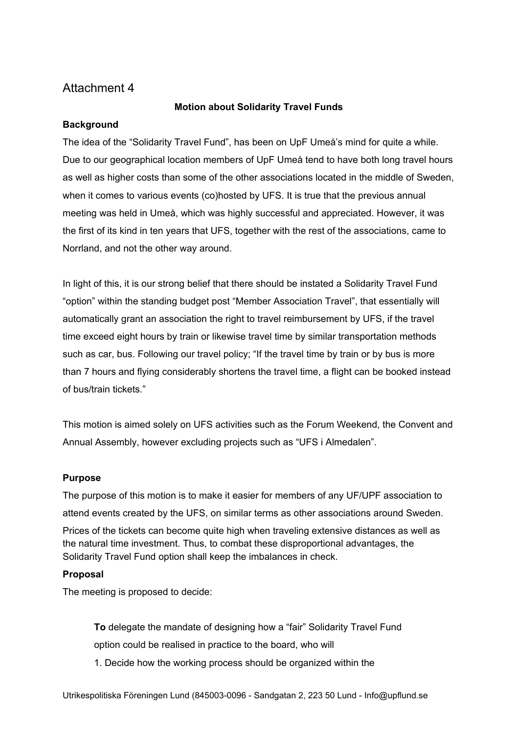# Attachment 4

#### **Motion about Solidarity Travel Funds**

### **Background**

The idea of the "Solidarity Travel Fund", has been on UpF Umeå's mind for quite a while. Due to our geographical location members of UpF Umeå tend to have both long travel hours as well as higher costs than some of the other associations located in the middle of Sweden, when it comes to various events (co)hosted by UFS. It is true that the previous annual meeting was held in Umeå, which was highly successful and appreciated. However, it was the first of its kind in ten years that UFS, together with the rest of the associations, came to Norrland, and not the other way around.

In light of this, it is our strong belief that there should be instated a Solidarity Travel Fund "option" within the standing budget post "Member Association Travel", that essentially will automatically grant an association the right to travel reimbursement by UFS, if the travel time exceed eight hours by train or likewise travel time by similar transportation methods such as car, bus. Following our travel policy; "If the travel time by train or by bus is more than 7 hours and flying considerably shortens the travel time, a flight can be booked instead of bus/train tickets."

This motion is aimed solely on UFS activities such as the Forum Weekend, the Convent and Annual Assembly, however excluding projects such as "UFS i Almedalen".

#### **Purpose**

The purpose of this motion is to make it easier for members of any UF/UPF association to attend events created by the UFS, on similar terms as other associations around Sweden. Prices of the tickets can become quite high when traveling extensive distances as well as the natural time investment. Thus, to combat these disproportional advantages, the Solidarity Travel Fund option shall keep the imbalances in check.

#### **Proposal**

The meeting is proposed to decide:

**To** delegate the mandate of designing how a "fair" Solidarity Travel Fund option could be realised in practice to the board, who will 1. Decide how the working process should be organized within the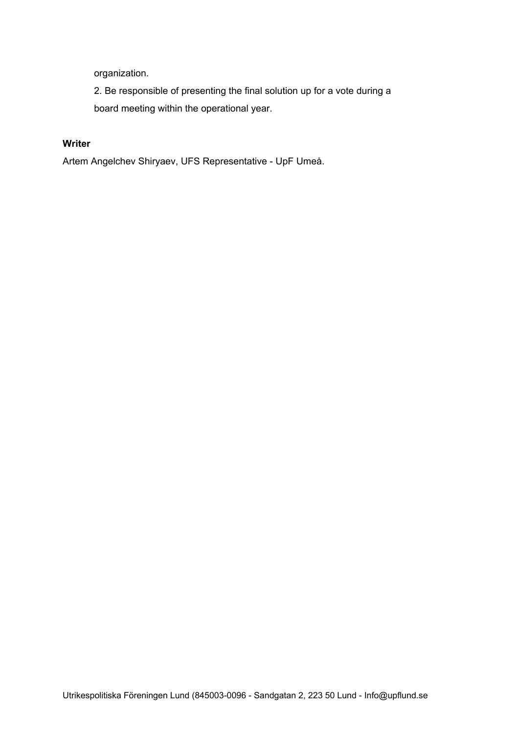organization.

2. Be responsible of presenting the final solution up for a vote during a board meeting within the operational year.

# **Writer**

Artem Angelchev Shiryaev, UFS Representative - UpF Umeå.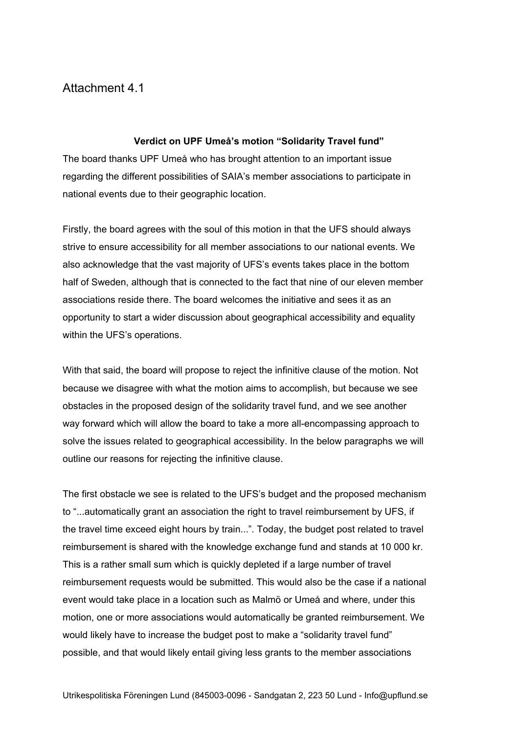# Attachment 4.1

#### **Verdict on UPF Umeå's motion "Solidarity Travel fund"**

The board thanks UPF Umeå who has brought attention to an important issue regarding the different possibilities of SAIA's member associations to participate in national events due to their geographic location.

Firstly, the board agrees with the soul of this motion in that the UFS should always strive to ensure accessibility for all member associations to our national events. We also acknowledge that the vast majority of UFS's events takes place in the bottom half of Sweden, although that is connected to the fact that nine of our eleven member associations reside there. The board welcomes the initiative and sees it as an opportunity to start a wider discussion about geographical accessibility and equality within the UFS's operations.

With that said, the board will propose to reject the infinitive clause of the motion. Not because we disagree with what the motion aims to accomplish, but because we see obstacles in the proposed design of the solidarity travel fund, and we see another way forward which will allow the board to take a more all-encompassing approach to solve the issues related to geographical accessibility. In the below paragraphs we will outline our reasons for rejecting the infinitive clause.

The first obstacle we see is related to the UFS's budget and the proposed mechanism to "...automatically grant an association the right to travel reimbursement by UFS, if the travel time exceed eight hours by train...". Today, the budget post related to travel reimbursement is shared with the knowledge exchange fund and stands at 10 000 kr. This is a rather small sum which is quickly depleted if a large number of travel reimbursement requests would be submitted. This would also be the case if a national event would take place in a location such as Malmö or Umeå and where, under this motion, one or more associations would automatically be granted reimbursement. We would likely have to increase the budget post to make a "solidarity travel fund" possible, and that would likely entail giving less grants to the member associations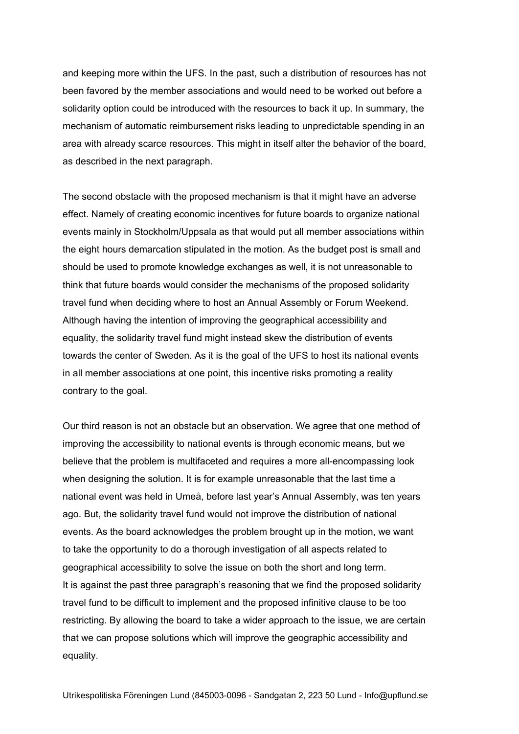and keeping more within the UFS. In the past, such a distribution of resources has not been favored by the member associations and would need to be worked out before a solidarity option could be introduced with the resources to back it up. In summary, the mechanism of automatic reimbursement risks leading to unpredictable spending in an area with already scarce resources. This might in itself alter the behavior of the board, as described in the next paragraph.

The second obstacle with the proposed mechanism is that it might have an adverse effect. Namely of creating economic incentives for future boards to organize national events mainly in Stockholm/Uppsala as that would put all member associations within the eight hours demarcation stipulated in the motion. As the budget post is small and should be used to promote knowledge exchanges as well, it is not unreasonable to think that future boards would consider the mechanisms of the proposed solidarity travel fund when deciding where to host an Annual Assembly or Forum Weekend. Although having the intention of improving the geographical accessibility and equality, the solidarity travel fund might instead skew the distribution of events towards the center of Sweden. As it is the goal of the UFS to host its national events in all member associations at one point, this incentive risks promoting a reality contrary to the goal.

Our third reason is not an obstacle but an observation. We agree that one method of improving the accessibility to national events is through economic means, but we believe that the problem is multifaceted and requires a more all-encompassing look when designing the solution. It is for example unreasonable that the last time a national event was held in Umeå, before last year's Annual Assembly, was ten years ago. But, the solidarity travel fund would not improve the distribution of national events. As the board acknowledges the problem brought up in the motion, we want to take the opportunity to do a thorough investigation of all aspects related to geographical accessibility to solve the issue on both the short and long term. It is against the past three paragraph's reasoning that we find the proposed solidarity travel fund to be difficult to implement and the proposed infinitive clause to be too restricting. By allowing the board to take a wider approach to the issue, we are certain that we can propose solutions which will improve the geographic accessibility and equality.